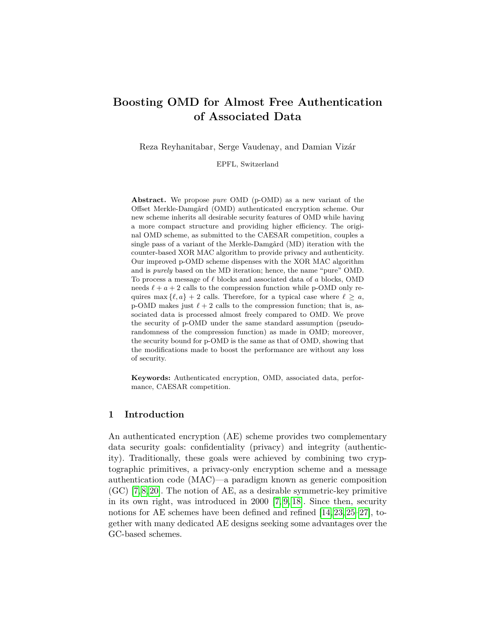# **Boosting OMD for Almost Free Authentication of Associated Data**

Reza Reyhanitabar, Serge Vaudenay, and Damian Vizár

EPFL, Switzerland

**Abstract.** We propose *pure* OMD (p-OMD) as a new variant of the Offset Merkle-Damgård (OMD) authenticated encryption scheme. Our new scheme inherits all desirable security features of OMD while having a more compact structure and providing higher efficiency. The original OMD scheme, as submitted to the CAESAR competition, couples a single pass of a variant of the Merkle-Damgård (MD) iteration with the counter-based XOR MAC algorithm to provide privacy and authenticity. Our improved p-OMD scheme dispenses with the XOR MAC algorithm and is *purely* based on the MD iteration; hence, the name "pure" OMD. To process a message of  $ℓ$  blocks and associated data of a blocks, OMD needs  $\ell + a + 2$  calls to the compression function while p-OMD only requires max  $\{\ell, a\}$  + 2 calls. Therefore, for a typical case where  $\ell \geq a$ , p-OMD makes just  $\ell + 2$  calls to the compression function; that is, associated data is processed almost freely compared to OMD. We prove the security of p-OMD under the same standard assumption (pseudorandomness of the compression function) as made in OMD; moreover, the security bound for p-OMD is the same as that of OMD, showing that the modifications made to boost the performance are without any loss of security.

**Keywords:** Authenticated encryption, OMD, associated data, performance, CAESAR competition.

## **1 Introduction**

An authenticated encryption (AE) scheme provides two complementary data security goals: confidentiality (privacy) and integrity (authenticity). Traditionally, these goals were achieved by combining two cryptographic primitives, a privacy-only encryption scheme and a message authentication code (MAC)—a paradigm known as generic composition (GC) [\[7,](#page-18-0) [8,](#page-18-1) [20\]](#page-19-0). The notion of AE, as a desirable symmetric-key primitive in its own right, was introduced in 2000 [\[7,](#page-18-0) [9,](#page-18-2) [18\]](#page-19-1). Since then, security notions for AE schemes have been defined and refined [\[14,](#page-18-3) [23,](#page-19-2) [25–](#page-19-3)[27\]](#page-19-4), together with many dedicated AE designs seeking some advantages over the GC-based schemes.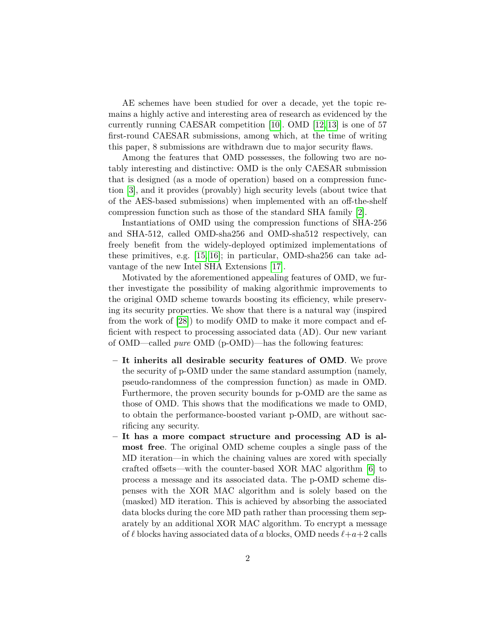AE schemes have been studied for over a decade, yet the topic remains a highly active and interesting area of research as evidenced by the currently running CAESAR competition [\[10\]](#page-18-4). OMD [\[12,](#page-18-5) [13\]](#page-18-6) is one of 57 first-round CAESAR submissions, among which, at the time of writing this paper, 8 submissions are withdrawn due to major security flaws.

Among the features that OMD possesses, the following two are notably interesting and distinctive: OMD is the only CAESAR submission that is designed (as a mode of operation) based on a compression function [\[3\]](#page-18-7), and it provides (provably) high security levels (about twice that of the AES-based submissions) when implemented with an off-the-shelf compression function such as those of the standard SHA family [\[2\]](#page-18-8).

Instantiations of OMD using the compression functions of SHA-256 and SHA-512, called OMD-sha256 and OMD-sha512 respectively, can freely benefit from the widely-deployed optimized implementations of these primitives, e.g. [\[15,](#page-19-5) [16\]](#page-19-6); in particular, OMD-sha256 can take advantage of the new Intel SHA Extensions [\[17\]](#page-19-7).

Motivated by the aforementioned appealing features of OMD, we further investigate the possibility of making algorithmic improvements to the original OMD scheme towards boosting its efficiency, while preserving its security properties. We show that there is a natural way (inspired from the work of [\[28\]](#page-19-8)) to modify OMD to make it more compact and efficient with respect to processing associated data (AD). Our new variant of OMD—called *pure* OMD (p-OMD)—has the following features:

- **– It inherits all desirable security features of OMD**. We prove the security of p-OMD under the same standard assumption (namely, pseudo-randomness of the compression function) as made in OMD. Furthermore, the proven security bounds for p-OMD are the same as those of OMD. This shows that the modifications we made to OMD, to obtain the performance-boosted variant p-OMD, are without sacrificing any security.
- **– It has a more compact structure and processing AD is almost free**. The original OMD scheme couples a single pass of the MD iteration—in which the chaining values are xored with specially crafted offsets—with the counter-based XOR MAC algorithm [\[6\]](#page-18-9) to process a message and its associated data. The p-OMD scheme dispenses with the XOR MAC algorithm and is solely based on the (masked) MD iteration. This is achieved by absorbing the associated data blocks during the core MD path rather than processing them separately by an additional XOR MAC algorithm. To encrypt a message of  $\ell$  blocks having associated data of a blocks, OMD needs  $\ell+a+2$  calls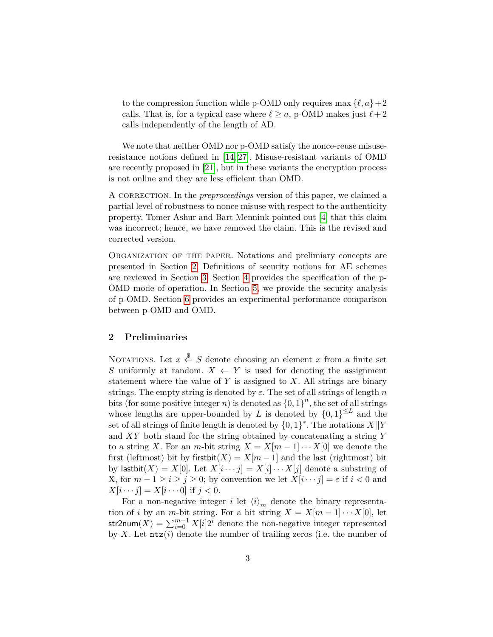to the compression function while p-OMD only requires max  $\{\ell, a\}+2$ calls. That is, for a typical case where  $\ell \ge a$ , p-OMD makes just  $\ell + 2$ calls independently of the length of AD.

We note that neither OMD nor p-OMD satisfy the nonce-reuse misuseresistance notions defined in [\[14,](#page-18-3) [27\]](#page-19-4). Misuse-resistant variants of OMD are recently proposed in [\[21\]](#page-19-9), but in these variants the encryption process is not online and they are less efficient than OMD.

A CORRECTION. In the *preproceedings* version of this paper, we claimed a partial level of robustness to nonce misuse with respect to the authenticity property. Tomer Ashur and Bart Mennink pointed out [\[4\]](#page-18-10) that this claim was incorrect; hence, we have removed the claim. This is the revised and corrected version.

Organization of the paper. Notations and prelimiary concepts are presented in Section [2.](#page-2-0) Definitions of security notions for AE schemes are reviewed in Section [3.](#page-4-0) Section [4](#page-6-0) provides the specification of the p-OMD mode of operation. In Section [5,](#page-13-0) we provide the security analysis of p-OMD. Section [6](#page-16-0) provides an experimental performance comparison between p-OMD and OMD.

#### <span id="page-2-0"></span>**2 Preliminaries**

NOTATIONS. Let  $x \stackrel{\$}{\leftarrow} S$  denote choosing an element x from a finite set S uniformly at random.  $X \leftarrow Y$  is used for denoting the assignment statement where the value of  $Y$  is assigned to  $X$ . All strings are binary strings. The empty string is denoted by  $\varepsilon$ . The set of all strings of length n bits (for some positive integer n) is denoted as  $\{0,1\}^n$ , the set of all strings whose lengths are upper-bounded by L is denoted by  $\{0,1\}^{\leq L}$  and the set of all strings of finite length is denoted by  $\{0,1\}^*$ . The notations  $X||Y$ and  $XY$  both stand for the string obtained by concatenating a string Y to a string X. For an m-bit string  $X = X[m-1] \cdots X[0]$  we denote the first (leftmost) bit by firstbit $(X) = X[m - 1]$  and the last (rightmost) bit by lastbit $(X) = X[0]$ . Let  $X[i \cdots j] = X[i] \cdots X[j]$  denote a substring of X, for  $m - 1 \ge i \ge j \ge 0$ ; by convention we let  $X[i \cdots j] = \varepsilon$  if  $i < 0$  and  $X[i \cdots j] = X[i \cdots 0]$  if  $j < 0$ .

For a non-negative integer *i* let  $\langle i \rangle_m$  denote the binary representation of *i* by an *m*-bit string. For a bit string  $X = X[m - 1] \cdots X[0]$ , let str2num(X) =  $\sum_{i=0}^{m-1} X[i]2^i$  denote the non-negative integer represented by X. Let  $\texttt{ntz}(i)$  denote the number of trailing zeros (i.e. the number of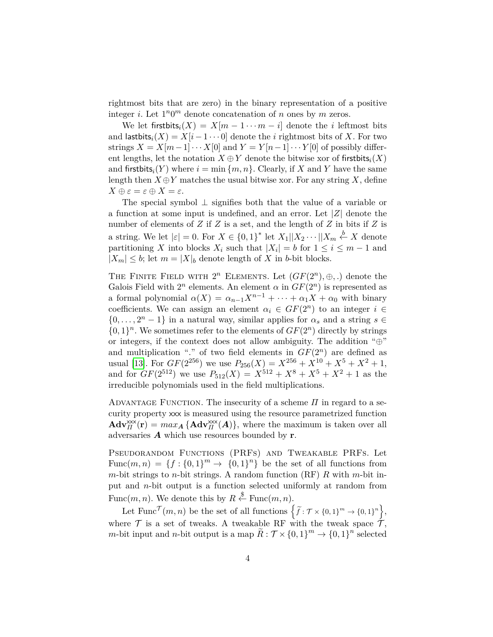rightmost bits that are zero) in the binary representation of a positive integer *i*. Let  $1^n0^m$  denote concatenation of *n* ones by *m* zeros.

We let first bits  $X_i(X) = X[m - 1 \cdots m - i]$  denote the *i* leftmost bits and last bits<sub>i</sub> $(X) = X[i - 1 \cdots 0]$  denote the *i* rightmost bits of X. For two strings  $X = X[m-1] \cdots X[0]$  and  $Y = Y[n-1] \cdots Y[0]$  of possibly different lengths, let the notation  $X \oplus Y$  denote the bitwise xor of first bits<sub>i</sub> $(X)$ and first bits<sub>i</sub> $(Y)$  where  $i = \min \{m, n\}$ . Clearly, if X and Y have the same length then  $X \oplus Y$  matches the usual bitwise xor. For any string X, define  $X \oplus \varepsilon = \varepsilon \oplus X = \varepsilon.$ 

The special symbol ⊥ signifies both that the value of a variable or a function at some input is undefined, and an error. Let  $|Z|$  denote the number of elements of  $Z$  if  $Z$  is a set, and the length of  $Z$  in bits if  $Z$  is a string. We let  $|\varepsilon| = 0$ . For  $X \in \{0,1\}^*$  let  $X_1 || X_2 \cdots || X_m \stackrel{b}{\leftarrow} X$  denote partitioning X into blocks  $X_i$  such that  $|X_i| = b$  for  $1 \leq i \leq m-1$  and  $|X_m| \leq b$ ; let  $m = |X|_b$  denote length of X in b-bit blocks.

THE FINITE FIELD WITH  $2^n$  ELEMENTS. Let  $(GF(2^n), \oplus, .)$  denote the Galois Field with  $2^n$  elements. An element  $\alpha$  in  $GF(2^n)$  is represented as a formal polynomial  $\alpha(X) = \alpha_{n-1} X^{n-1} + \cdots + \alpha_1 X + \alpha_0$  with binary coefficients. We can assign an element  $\alpha_i \in GF(2^n)$  to an integer  $i \in$  $\{0, \ldots, 2<sup>n</sup> - 1\}$  in a natural way, similar applies for  $\alpha_s$  and a string  $s \in$  $\{0,1\}^n$ . We sometimes refer to the elements of  $GF(2^n)$  directly by strings or integers, if the context does not allow ambiguity. The addition " $\oplus$ " and multiplication "." of two field elements in  $GF(2<sup>n</sup>)$  are defined as usual [\[13\]](#page-18-6). For  $GF(2^{256})$  we use  $P_{256}(X) = X^{256} + X^{10} + X^5 + X^2 + 1$ , and for  $GF(2^{512})$  we use  $P_{512}(X) = X^{512} + X^8 + X^5 + X^2 + 1$  as the irreducible polynomials used in the field multiplications.

ADVANTAGE FUNCTION. The insecurity of a scheme  $\Pi$  in regard to a security property xxx is measured using the resource parametrized function  $\mathbf{Adv}_{\Pi}^{\mathsf{xxx}}(\mathbf{r}) = max_{\mathbf{A}} \{ \mathbf{Adv}_{\Pi}^{\mathsf{xxx}}(\mathbf{A}) \},$  where the maximum is taken over all adversaries  $\boldsymbol{A}$  which use resources bounded by **r**.

Pseudorandom Functions (PRFs) and Tweakable PRFs. Let Func $(m, n) = \{f: \{0, 1\}^m \to \{0, 1\}^n\}$  be the set of all functions from  $m$ -bit strings to  $n$ -bit strings. A random function (RF)  $R$  with  $m$ -bit input and  $n$ -bit output is a function selected uniformly at random from Func $(m, n)$ . We denote this by  $R \stackrel{\$}{\leftarrow} \text{Func}(m, n)$ .

Let  $\text{Func}^{\mathcal{T}}(m,n)$  be the set of all functions  $\left\{\widetilde{f}:\mathcal{T}\times\{0,1\}^m\to\{0,1\}^n\right\},$ where  $\mathcal T$  is a set of tweaks. A tweakable RF with the tweak space  $\mathcal T$ ,  $m$ -bit input and  $n$ -bit output is a map  $\widetilde{R}: \mathcal{T} \times \{0,1\}^m \to \{0,1\}^n$  selected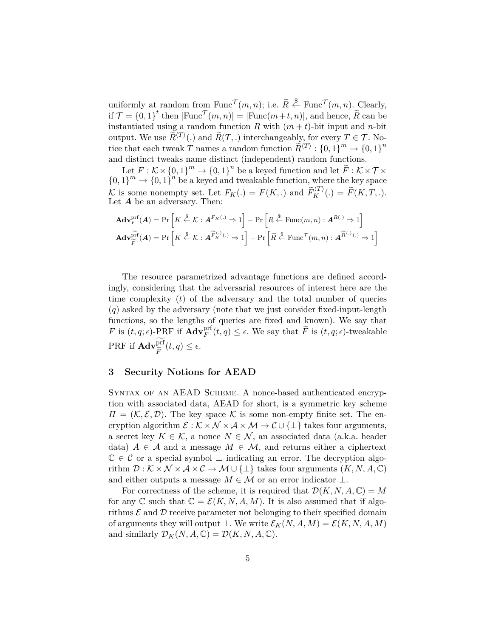uniformly at random from Func<sup> $\mathcal{T}(m, n)$ ; i.e.  $\tilde{R} \stackrel{\$}{\leftarrow} \text{Func}^{\mathcal{T}}(m, n)$ . Clearly,</sup> if  $\mathcal{T} = \{0, 1\}^t$  then  $|\text{Func}^{\mathcal{T}}(m, n)| = |\text{Func}(m+t, n)|$ , and hence,  $\widetilde{R}$  can be instantiated using a random function R with  $(m + t)$ -bit input and n-bit output. We use  $\widetilde{R}^{\langle T \rangle}(.)$  and  $\widetilde{R}(T,.)$  interchangeably, for every  $T \in \mathcal{T}$ . Notice that each tweak  $T$  names a random function  $\widetilde{R}^{\langle T \rangle}: \{0,1\}^m \to \{0,1\}^n$ and distinct tweaks name distinct (independent) random functions.

Let  $F: \mathcal{K} \times \{0,1\}^m \to \{0,1\}^n$  be a keyed function and let  $\widetilde{F}: \mathcal{K} \times \mathcal{T} \times$  $\{0,1\}^m \to \{0,1\}^n$  be a keyed and tweakable function, where the key space K is some nonempty set. Let  $F_K(.) = F(K,.)$  and  $\widetilde{F}_K^{(T)}(.) = \widetilde{F}(K, T, .).$ Let  $A$  be an adversary. Then:

$$
\mathbf{Adv}_{F}^{\text{prf}}(\mathbf{A}) = \Pr\left[K \stackrel{\$}{\leftarrow} \mathcal{K} : \mathbf{A}^{F_{K}(\cdot)} \Rightarrow 1\right] - \Pr\left[R \stackrel{\$}{\leftarrow} \text{Func}(m, n) : \mathbf{A}^{R(\cdot)} \Rightarrow 1\right]
$$
\n
$$
\mathbf{Adv}_{\widetilde{F}}^{\text{prf}}(\mathbf{A}) = \Pr\left[K \stackrel{\$}{\leftarrow} \mathcal{K} : \mathbf{A}^{\widetilde{F}_{K}^{(\cdot)}(\cdot)} \Rightarrow 1\right] - \Pr\left[\widetilde{R} \stackrel{\$}{\leftarrow} \text{Func}^{\mathcal{T}}(m, n) : \mathbf{A}^{\widetilde{R}(\cdot)}(\cdot) \Rightarrow 1\right]
$$

The resource parametrized advantage functions are defined accordingly, considering that the adversarial resources of interest here are the time complexity  $(t)$  of the adversary and the total number of queries  $(q)$  asked by the adversary (note that we just consider fixed-input-length functions, so the lengths of queries are fixed and known). We say that F is  $(t, q; \epsilon)$ -PRF if  $\mathbf{Adv}_{F}^{\text{prf}}(t, q) \leq \epsilon$ . We say that  $\widetilde{F}$  is  $(t, q; \epsilon)$ -tweakable  $\mathrm{PRF}$  if  $\mathbf{Adv}_{\widetilde{\mathcal{F}}}^{\mathrm{prf}}$  $\overline{F}$  $(t,q) \leq \epsilon.$ 

### <span id="page-4-0"></span>**3 Security Notions for AEAD**

SYNTAX OF AN AEAD SCHEME. A nonce-based authenticated encryption with associated data, AEAD for short, is a symmetric key scheme  $\Pi = (\mathcal{K}, \mathcal{E}, \mathcal{D})$ . The key space  $\mathcal K$  is some non-empty finite set. The encryption algorithm  $\mathcal{E}: \mathcal{K} \times \mathcal{N} \times \mathcal{A} \times \mathcal{M} \rightarrow \mathcal{C} \cup \{\perp\}$  takes four arguments, a secret key  $K \in \mathcal{K}$ , a nonce  $N \in \mathcal{N}$ , an associated data (a.k.a. header data)  $A \in \mathcal{A}$  and a message  $M \in \mathcal{M}$ , and returns either a ciphertext  $\mathbb{C} \in \mathcal{C}$  or a special symbol  $\perp$  indicating an error. The decryption algorithm  $\mathcal{D}: \mathcal{K} \times \mathcal{N} \times \mathcal{A} \times \mathcal{C} \rightarrow \mathcal{M} \cup \{\perp\}$  takes four arguments  $(K, N, A, \mathbb{C})$ and either outputs a message  $M \in \mathcal{M}$  or an error indicator  $\perp$ .

For correctness of the scheme, it is required that  $\mathcal{D}(K, N, A, \mathbb{C}) = M$ for any  $\mathbb C$  such that  $\mathbb C = \mathcal E(K,N,A,M)$ . It is also assumed that if algorithms  $\mathcal E$  and  $\mathcal D$  receive parameter not belonging to their specified domain of arguments they will output  $\bot$ . We write  $\mathcal{E}_K(N, A, M) = \mathcal{E}(K, N, A, M)$ and similarly  $\mathcal{D}_K(N, A, \mathbb{C}) = \mathcal{D}(K, N, A, \mathbb{C}).$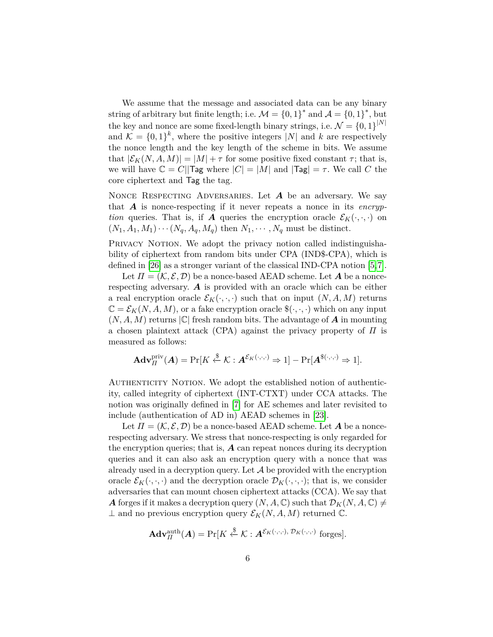We assume that the message and associated data can be any binary string of arbitrary but finite length; i.e.  $\mathcal{M} = \{0, 1\}^*$  and  $\mathcal{A} = \{0, 1\}^*$ , but the key and nonce are some fixed-length binary strings, i.e.  $\mathcal{N} = \{0, 1\}^{|N|}$ and  $\mathcal{K} = \{0,1\}^k$ , where the positive integers |N| and k are respectively the nonce length and the key length of the scheme in bits. We assume that  $|\mathcal{E}_K(N, A, M)| = |M| + \tau$  for some positive fixed constant  $\tau$ ; that is, we will have  $\mathbb{C} = C||\mathsf{Tag}$  where  $|C| = |M|$  and  $|\mathsf{Tag}| = \tau$ . We call C the core ciphertext and Tag the tag.

NONCE RESPECTING ADVERSARIES. Let  $A$  be an adversary. We say that  $\vec{A}$  is nonce-respecting if it never repeats a nonce in its *encryption* queries. That is, if **A** queries the encryption oracle  $\mathcal{E}_K(\cdot, \cdot, \cdot)$  on  $(N_1, A_1, M_1) \cdots (N_q, A_q, M_q)$  then  $N_1, \cdots, N_q$  must be distinct.

PRIVACY NOTION. We adopt the privacy notion called indistinguishability of ciphertext from random bits under CPA (IND\$-CPA), which is defined in [\[26\]](#page-19-10) as a stronger variant of the classical IND-CPA notion [\[5,](#page-18-11)[7\]](#page-18-0).

Let  $\Pi = (\mathcal{K}, \mathcal{E}, \mathcal{D})$  be a nonce-based AEAD scheme. Let **A** be a noncerespecting adversary.  $\boldsymbol{A}$  is provided with an oracle which can be either a real encryption oracle  $\mathcal{E}_K(\cdot,\cdot,\cdot)$  such that on input  $(N, A, M)$  returns  $\mathbb{C} = \mathcal{E}_K(N, A, M)$ , or a fake encryption oracle  $\mathcal{E}(\cdot, \cdot, \cdot)$  which on any input  $(N, A, M)$  returns  $|\mathbb{C}|$  fresh random bits. The advantage of **A** in mounting a chosen plaintext attack (CPA) against the privacy property of  $\Pi$  is measured as follows:

$$
\mathbf{Adv}_{\Pi}^{\text{priv}}(\mathbf{A}) = \Pr[K \stackrel{\$}{\leftarrow} \mathcal{K} : \mathbf{A}^{\mathcal{E}_K(\cdot,\cdot,\cdot)} \Rightarrow 1] - \Pr[\mathbf{A}^{\$(\cdot,\cdot,\cdot)} \Rightarrow 1].
$$

AUTHENTICITY NOTION. We adopt the established notion of authenticity, called integrity of ciphertext (INT-CTXT) under CCA attacks. The notion was originally defined in [\[7\]](#page-18-0) for AE schemes and later revisited to include (authentication of AD in) AEAD schemes in [\[23\]](#page-19-2).

Let  $\Pi = (\mathcal{K}, \mathcal{E}, \mathcal{D})$  be a nonce-based AEAD scheme. Let **A** be a noncerespecting adversary. We stress that nonce-respecting is only regarded for the encryption queries; that is,  $\boldsymbol{A}$  can repeat nonces during its decryption queries and it can also ask an encryption query with a nonce that was already used in a decryption query. Let  $A$  be provided with the encryption oracle  $\mathcal{E}_K(\cdot, \cdot, \cdot)$  and the decryption oracle  $\mathcal{D}_K(\cdot, \cdot, \cdot)$ ; that is, we consider adversaries that can mount chosen ciphertext attacks (CCA). We say that **A** forges if it makes a decryption query  $(N, A, \mathbb{C})$  such that  $\mathcal{D}_K(N, A, \mathbb{C}) \neq$  $\perp$  and no previous encryption query  $\mathcal{E}_K(N, A, M)$  returned  $\mathbb{C}$ .

$$
\mathbf{Adv}_{\Pi}^{\text{auth}}(\mathbf{A}) = \Pr[K \stackrel{\$}{\leftarrow} \mathcal{K} : \mathbf{A}^{\mathcal{E}_K(\cdot,\cdot,\cdot), \mathcal{D}_K(\cdot,\cdot,\cdot)} \text{ forges}].
$$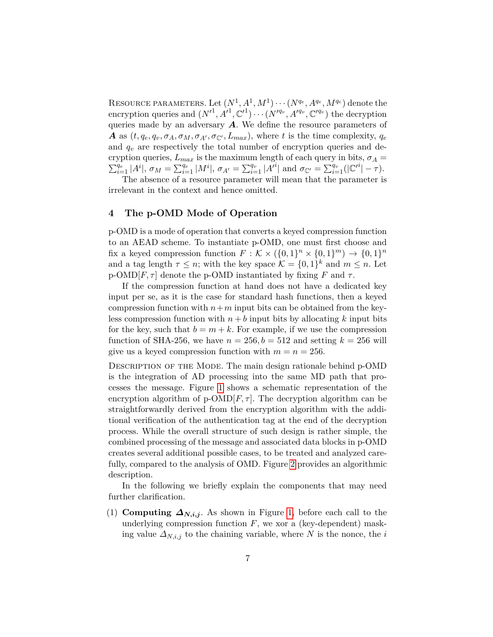RESOURCE PARAMETERS. Let  $(N^1, A^1, M^1) \cdots (N^{q_e}, A^{q_e}, M^{q_e})$  denote the encryption queries and  $(N'^{1}, A'^{1}, \mathbb{C}'^{1}) \cdots (N'^{q_v}, A'^{q_v}, \mathbb{C}'^{q_v})$  the decryption queries made by an adversary  $\boldsymbol{A}$ . We define the resource parameters of A as  $(t, q_e, q_v, \sigma_A, \sigma_M, \sigma_{A'}, \sigma_{\mathbb{C}'}, L_{max})$ , where t is the time complexity,  $q_e$ and  $q_v$  are respectively the total number of encryption queries and decryption queries,  $L_{max}$  is the maximum length of each query in bits,  $\sigma_A =$  $\sum_{i=1}^{q_e} |A^i|, \sigma_M = \sum_{i=1}^{q_e} |M^i|, \sigma_{A'} = \sum_{i=1}^{q_v} |A^{i}| \text{ and } \sigma_{\mathbb{C}'} = \sum_{i=1}^{q_v} (|\mathbb{C}'}^i| - \tau).$ 

The absence of a resource parameter will mean that the parameter is irrelevant in the context and hence omitted.

# <span id="page-6-0"></span>**4 The p-OMD Mode of Operation**

p-OMD is a mode of operation that converts a keyed compression function to an AEAD scheme. To instantiate p-OMD, one must first choose and fix a keyed compression function  $F : \mathcal{K} \times (\{0,1\}^n \times \{0,1\}^m) \to \{0,1\}^n$ and a tag length  $\tau \leq n$ ; with the key space  $\mathcal{K} = \{0,1\}^k$  and  $m \leq n$ . Let p-OMD[ $F, \tau$ ] denote the p-OMD instantiated by fixing F and  $\tau$ .

If the compression function at hand does not have a dedicated key input per se, as it is the case for standard hash functions, then a keyed compression function with  $n+m$  input bits can be obtained from the keyless compression function with  $n + b$  input bits by allocating k input bits for the key, such that  $b = m + k$ . For example, if we use the compression function of SHA-256, we have  $n = 256$ ,  $b = 512$  and setting  $k = 256$  will give us a keyed compression function with  $m = n = 256$ .

DESCRIPTION OF THE MODE. The main design rationale behind p-OMD is the integration of AD processing into the same MD path that processes the message. Figure [1](#page-7-0) shows a schematic representation of the encryption algorithm of  $p\text{-OMD}[F, \tau]$ . The decryption algorithm can be straightforwardly derived from the encryption algorithm with the additional verification of the authentication tag at the end of the decryption process. While the overall structure of such design is rather simple, the combined processing of the message and associated data blocks in p-OMD creates several additional possible cases, to be treated and analyzed carefully, compared to the analysis of OMD. Figure [2](#page-9-0) provides an algorithmic description.

In the following we briefly explain the components that may need further clarification.

(1) **Computing**  $\Delta_{N,i,j}$ . As shown in Figure [1,](#page-7-0) before each call to the underlying compression function  $F$ , we xor a (key-dependent) masking value  $\Delta_{N,i,j}$  to the chaining variable, where N is the nonce, the i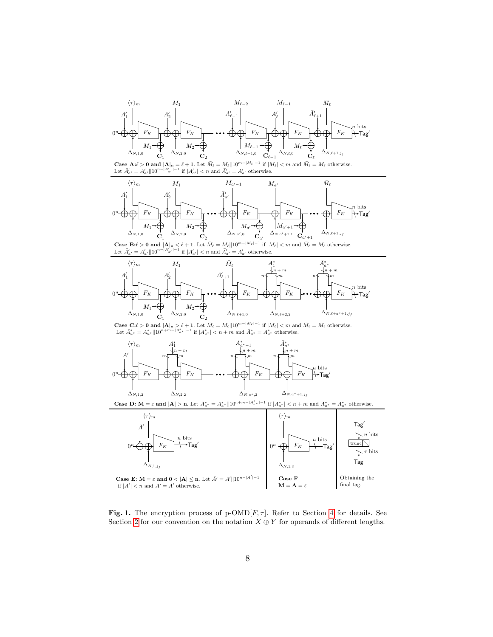

<span id="page-7-0"></span>**Fig. 1.** The encryption process of p-OMD[ $F, \tau$ ]. Refer to Section [4](#page-6-0) for details. See Section [2](#page-2-0) for our convention on the notation  $X \oplus Y$  for operands of different lengths.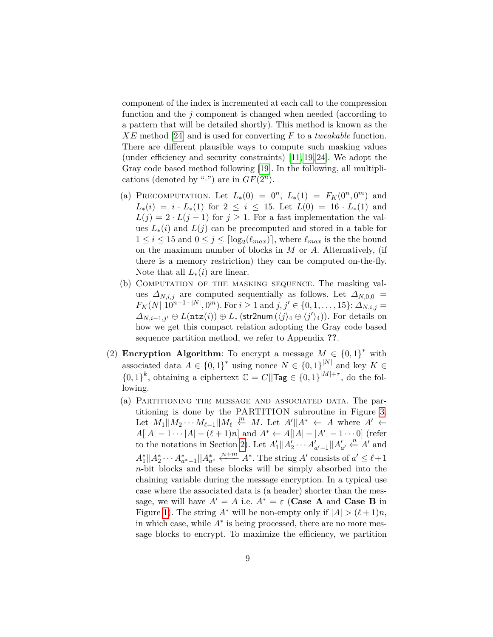component of the index is incremented at each call to the compression function and the  $j$  component is changed when needed (according to a pattern that will be detailed shortly). This method is known as the  $XE$  method [\[24\]](#page-19-11) and is used for converting  $F$  to a *tweakable* function. There are different plausible ways to compute such masking values (under efficiency and security constraints) [\[11,](#page-18-12) [19,](#page-19-12) [24\]](#page-19-11). We adopt the Gray code based method following [\[19\]](#page-19-12). In the following, all multiplications (denoted by ".") are in  $GF(2<sup>n</sup>)$ .

- (a) PRECOMPUTATION. Let  $L_*(0) = 0^n$ ,  $L_*(1) = F_K(0^n, 0^m)$  and  $L_*(i) = i \cdot L_*(1)$  for  $2 \leq i \leq 15$ . Let  $L(0) = 16 \cdot L_*(1)$  and  $L(j) = 2 \cdot L(j-1)$  for  $j \ge 1$ . For a fast implementation the values  $L_*(i)$  and  $L(j)$  can be precomputed and stored in a table for  $1 \leq i \leq 15$  and  $0 \leq j \leq \lceil \log_2(\ell_{max}) \rceil$ , where  $\ell_{max}$  is the the bound on the maximum number of blocks in  $M$  or  $A$ . Alternatively, (if there is a memory restriction) they can be computed on-the-fly. Note that all  $L_*(i)$  are linear.
- (b) Computation of the masking sequence. The masking values  $\Delta_{N,i,j}$  are computed sequentially as follows. Let  $\Delta_{N,0,0}$  =  $F_K(N||10^{n-1-|N|}, 0^m)$ . For  $i \ge 1$  and  $j, j' \in \{0, 1, ..., 15\}$ :  $\Delta_{N, i, j} =$  $\Delta_{N,i-1,j'} \oplus L(\texttt{ntz}(i)) \oplus L_*(\texttt{str2num}(\langle j \rangle_4 \oplus \langle j' \rangle_4)).$  For details on how we get this compact relation adopting the Gray code based sequence partition method, we refer to Appendix **??**.
- (2) **Encryption Algorithm**: To encrypt a message  $M \in \{0,1\}^*$  with associated data  $A \in \{0,1\}^*$  using nonce  $N \in \{0,1\}^{|N|}$  and key  $K \in$  $\{0,1\}^k$ , obtaining a ciphertext  $\mathbb{C} = C||\text{Tag} \in \{0,1\}^{|M|+\tau}$ , do the following.
	- (a) Partitioning the message and associated data. The partitioning is done by the PARTITION subroutine in Figure [3.](#page-11-0) Let  $M_1||M_2 \cdots M_{\ell-1}||M_{\ell} \stackrel{m}{\leftarrow} M$ . Let  $A'||A^* \leftarrow A$  where  $A' \leftarrow$  $A[|A| - 1 \cdots |A| - (\ell + 1)n]$  and  $A^* \leftarrow A[|A| - |A'| - 1 \cdots 0]$  (refer to the notations in Section [2\)](#page-2-0). Let  $A'_1||A'_2 \cdots A'_{a'-1}||A'_{a'} \leftarrow A'$  and  $A_1^* || A_2^* \cdots A_{a^*-1}^* || A_{a^*}^* \xleftarrow{n+m} A^*.$  The string A' consists of  $a' \leq \ell+1$ -bit blocks and these blocks will be simply absorbed into the chaining variable during the message encryption. In a typical use case where the associated data is (a header) shorter than the message, we will have  $A' = A$  i.e.  $A^* = \varepsilon$  (**Case A** and **Case B** in Figure [1\)](#page-7-0). The string  $A^*$  will be non-empty only if  $|A| > (\ell+1)n$ , in which case, while  $A^*$  is being processed, there are no more message blocks to encrypt. To maximize the efficiency, we partition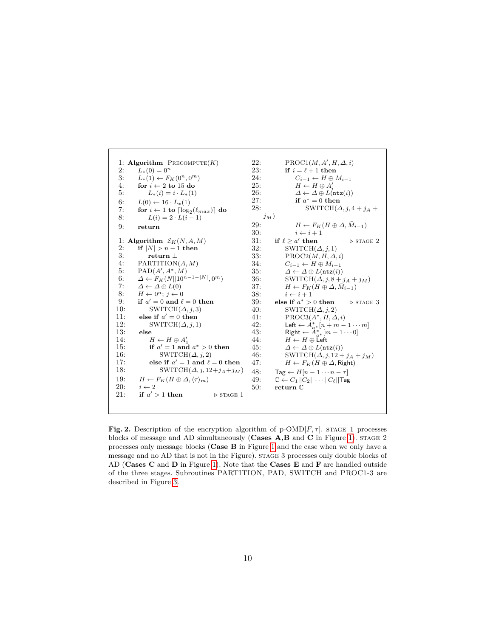1: **Algorithm**  $P$ RECOMPUTE $(K)$ 2:  $L_*(0) = 0^n$ 3:  $L_*(1) \leftarrow F_K(0^n, 0^m)$ <br>4: **for**  $i \leftarrow 2$  to 15 do  $\overrightarrow{i} \leftarrow 2$  to  $15$  do 5:  $L_*(i) = i \cdot L_*(1)$ 6:  $L(0) \leftarrow 16 \cdot L_*(1)$ 7: **for**  $i \leftarrow 1$  to  $\lceil \log_2(\ell_{max}) \rceil$  do 8:  $L(i) = 2 \cdot L(i-1)$ 9: **return** 1: **Algorithm**  $\mathcal{E}_K(N, A, M)$ <br>2: **if**  $|N| > n - 1$  **then** if  $|N| > n - 1$  then 3: **return** ⊥ 4: PARTITION $(A, M)$ 5:  $PAD(A', A^*, M)$ 6:  $\Delta \leftarrow F_K(N||10^{n-1-|N|}, 0^m)$ 7:  $\Delta \leftarrow \Delta \oplus L(0)$ 8:  $H \leftarrow 0^n; j \leftarrow 0$ 9: **if**  $a' = 0$  and  $\ell = 0$  then 10: SWITCH $(\Delta, j, 3)$ 11: **else if**  $a' = 0$  **then** 12: SWITCH $(\Delta, j, 1)$ <br>13: **else** 13: **else** 14:  $H \leftarrow H \oplus A'_1$ 15: **if**  $a' = 1$  **and**  $a^* > 0$  **then** 16: SWITCH $(\Delta, j, 2)$ 17: **else if**  $a' = 1$  **and**  $\ell = 0$  **then** 18: SWITCH $(\Delta, j, 12+j_A+j_M)$ 19:  $H \leftarrow F_K(H \oplus \Delta, \langle \tau \rangle_m)$ <br>20:  $i \leftarrow 2$  $i \leftarrow 2$ 21: **if**  $a' > 1$  **then**  $\triangleright$  STAGE 1 22: PROC $1(M, A', H, \Delta, i)$ 23: **if**  $i = \ell + 1$  **then** 24:  $C_{i-1} \leftarrow H \oplus M_{i-1}$ <br>25:  $H \leftarrow H \oplus A'$ 25:  $H \leftarrow H \oplus A'_i$ 26:  $\Delta \leftarrow \Delta \oplus L(\text{ntz}(i))$ <br>
27: if  $a^* = 0$  then 27: **if**  $a^* = 0$  **then** 28: SWITCH $(\Delta, j, 4 + j_A + j_B)$  $j_M)$ 29:  $H \leftarrow F_K(H \oplus \Delta, \bar{M}_{i-1})$ 30:  $i \leftarrow i + 1$ 31: **if**  $\ell > a'$  then ′ **then** *◁* stage 2 32:  $\overline{\text{SWITCH}}(\Delta, j, 1)$ 33: PROC2( $M, H, \Delta, i$ )<br>34:  $C_{i-1} \leftarrow H \oplus M_{i-1}$ 34:  $C_{i-1} \leftarrow H \oplus M_{i-1}$ <br>35:  $\Delta \leftarrow \Delta \oplus L(\text{ntz}(i))$ 35:  $\Delta \leftarrow \Delta \oplus L(\text{ntz}(i))$ <br>36: SWITCH( $\Delta, i, 8 +$ 36: SWITCH( $\Delta$ , *j*, 8 + *j*<sub>A</sub> + *j*<sub>M</sub>)<br>37:  $H \leftarrow F_K(H \oplus \Delta, \overline{M}_{i-1})$ 37:  $H \leftarrow F_K(H \oplus \Delta, \overline{M}_{i-1})$ 38:  $i \leftarrow i+1$ <br>39: else if  $a^*$ 39: **else if**  $a^* > 0$  **then**  $\triangleright$  STAGE 3 40: SWITCH( $\Delta$ , *j*, 2)<br>41: PROC3( $A^*$ , *H*,  $\Delta$ 41: PROC3( $A^*$ ,  $H, \Delta, i$ )<br>42: Left  $\leftarrow A^*$ ,  $[n+m-$ 42: Left  $\leftarrow A_{a^*}^*[n+m-1\cdots m]$ 43: Right  $\leftarrow \mathring{A}_{a^*}^*[m-1\cdots 0]$ 44:  $H \leftarrow H \oplus \text{Left}$ 45:  $\Delta \leftarrow \Delta \oplus L(\text{ntz}(i))$ 46: SWITCH( $\Delta$ , *j*, 12 + *j*<sub>A</sub> + *j*<sub>M</sub>)<br>47:  $H \leftarrow F_K(H \oplus \Delta, \text{Right})$  $H \leftarrow F_K(H \oplus \Delta, \mathsf{Right})$ 48: Tag ←  $H[n-1 \cdots n-\tau]$ <br>49:  $\mathbb{C}$  ←  $C_1 || C_2 || \cdots || C_\ell ||$ Tag  $\mathbb{C} \leftarrow C_1 || C_2 || \cdots || C_\ell ||$ Tag 50: **return** C

<span id="page-9-0"></span>**Fig. 2.** Description of the encryption algorithm of  $p\text{-OMD}[F, \tau]$ . STAGE 1 processes blocks of message and AD simultaneously (**Cases A,B** and **C** in Figure [1\)](#page-7-0). stage 2 processes only message blocks (**Case B** in Figure [1](#page-7-0) and the case when we only have a message and no AD that is not in the Figure). stage 3 processes only double blocks of AD (**Cases C** and **D** in Figure [1\)](#page-7-0). Note that the **Cases E** and **F** are handled outside of the three stages. Subroutines PARTITION, PAD, SWITCH and PROC1-3 are described in Figure [3.](#page-11-0)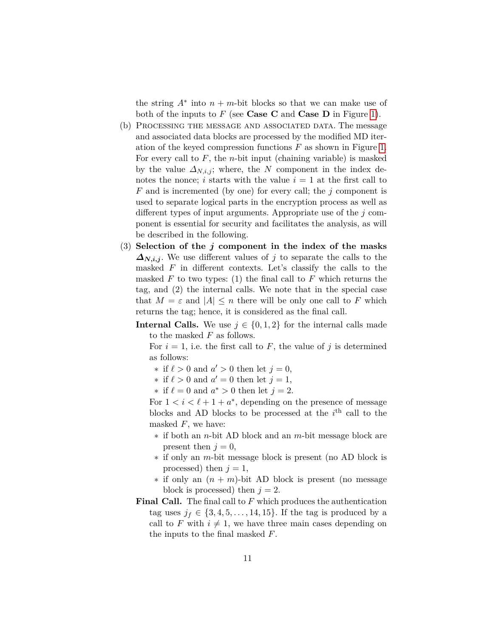the string  $A^*$  into  $n + m$ -bit blocks so that we can make use of both of the inputs to  $F$  (see **Case C** and **Case D** in Figure [1\)](#page-7-0).

- (b) Processing the message and associated data. The message and associated data blocks are processed by the modified MD iteration of the keyed compression functions  $F$  as shown in Figure [1.](#page-7-0) For every call to  $F$ , the *n*-bit input (chaining variable) is masked by the value  $\Delta_{N,i,j}$ ; where, the N component in the index denotes the nonce; *i* starts with the value  $i = 1$  at the first call to F and is incremented (by one) for every call; the  $i$  component is used to separate logical parts in the encryption process as well as different types of input arguments. Appropriate use of the  $j$  component is essential for security and facilitates the analysis, as will be described in the following.
- $(3)$  Selection of the *j* component in the index of the masks  $\Delta_{N,i,j}$ . We use different values of j to separate the calls to the masked  $F$  in different contexts. Let's classify the calls to the masked  $F$  to two types: (1) the final call to  $F$  which returns the tag, and (2) the internal calls. We note that in the special case that  $M = \varepsilon$  and  $|A| \leq n$  there will be only one call to F which returns the tag; hence, it is considered as the final call.
	- **Internal Calls.** We use  $j \in \{0, 1, 2\}$  for the internal calls made to the masked  $F$  as follows.

For  $i = 1$ , i.e. the first call to F, the value of j is determined as follows:

- \* if  $\ell > 0$  and  $a' > 0$  then let  $j = 0$ ,
- \* if  $\ell > 0$  and  $a' = 0$  then let  $j = 1$ ,
- \* if  $\ell = 0$  and  $a^* > 0$  then let  $j = 2$ .

For  $1 < i < \ell + 1 + a^*$ , depending on the presence of message blocks and AD blocks to be processed at the  $i<sup>th</sup>$  call to the masked  $F$ , we have:

- $*$  if both an *n*-bit AD block and an *m*-bit message block are present then  $j = 0$ ,
- $*$  if only an *m*-bit message block is present (no AD block is processed) then  $j = 1$ ,
- $*$  if only an  $(n + m)$ -bit AD block is present (no message block is processed) then  $j = 2$ .
- **Final Call.** The final call to  $F$  which produces the authentication tag uses  $j_f \in \{3, 4, 5, \ldots, 14, 15\}$ . If the tag is produced by a call to F with  $i \neq 1$ , we have three main cases depending on the inputs to the final masked  $F$ .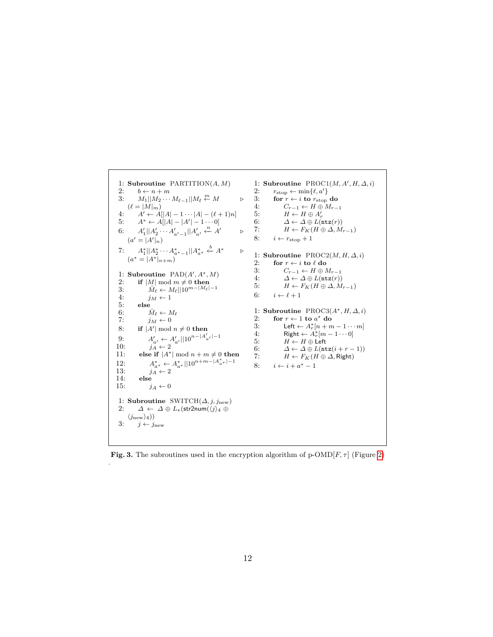```
1: Subroutine PARTITION(A, M)2: b \leftarrow n + m<br>3: M_1 || M_2 ...3: M_1 || M_2 \cdots M_{\ell-1} || M_\ell \stackrel{m}{\leftarrow} M \triangleright(\ell = |M|_m)4: A' \leftarrow A[|A| - 1 \cdots |A| - (\ell + 1)n]5: A^* \leftarrow A[|A| - |A'| - 1 \cdots 0]6: A'_1 || A'_2 \cdots A'_{a'-1} || A'_{a'} \xleftarrow{n} A' \triangleright(a' = |A'|_n)7: A_1^* || A_2^* \cdots A_{a^*-1}^* || A_{a^*}^* \stackrel{b}{\leftarrow} A^* \triangleright(a^* = |A^*|_{n+m})1: Subroutine \text{PAD}(A', A^*, M)2: if |M| \text{ mod } m \neq 0 then
  3: \bar{M}_{\ell} \leftarrow M_{\ell} || 10^{m-|M_{\ell}|-1}4: j_M \leftarrow 15: else
  6: \bar{M}_{\ell} \leftarrow M_{\ell}7: j_M \leftarrow 08: if |A'| mod n \neq 0 then
  9: A'_{a'} \leftarrow A'_{a'} ||10^{n-|A'_{a'}| - 1}10: j_A^{a'} \leftarrow 2<br>11: else if |A^*|else if |A^*| mod n + m \neq 0 then
12: A_{a^*}^* \leftarrow A_{a^*}^* ||10^{n+m-|A_{a^*}^*| - 1}13: j_A^{\alpha} \leftarrow 2<br>14: else
14: else
                  j_A \leftarrow 01: Subroutine SWITCH(\Delta, j, j_{\text{new}})2: \Delta \leftarrow \Delta \oplus L_*(\text{str2num}(\langle j \rangle_4 \oplus\langle j_{\rm new}\rangle_4))3: j \leftarrow j_{\text{new}}1: Subroutine PROC1(M, A', H, \Delta, i)2: r_{\text{stop}} \leftarrow \min\{\ell, a'\}3: for r \leftarrow i to r_{\text{stop}} do<br>4: C_{r-1} \leftarrow H \oplus M_{r-1}4: C_{r-1} \leftarrow H \oplus M_{r-1}<br>5: H \leftarrow H \oplus A'_r5: H \leftarrow H \oplus A'_r6: \Delta \leftarrow \Delta \oplus L(\text{ntz}(r))<br>7: H \leftarrow F_K(H \oplus \Delta, M)H \leftarrow F_K(H \oplus \Delta, M_{r-1})8: i \leftarrow r_{\text{stop}} + 11: Subroutine PROC2(M, H, \Delta, i)2: for r \leftarrow i to \ell do<br>3: C_{r-1} \leftarrow H \oplus I3: C_{r-1} \leftarrow H \oplus M_{r-1}<br>4: \Delta \leftarrow \Delta \oplus L(\text{ntz}(r))\varDelta \leftarrow \varDelta \oplus L(\texttt{ntz}(r))5: H \leftarrow F_K(H \oplus \Delta, M_{r-1})6: i \leftarrow \ell + 11: Subroutine PROC3(A^*, H, \Delta, i)<br>2: for r \leftarrow 1 to a^* do
                                                                               2: for r \leftarrow 1 to a^* do
                                                                               3: Left \leftarrow A_r^*[n+m-1\cdots m]4: Right \leftarrow A_r^*[m-1\cdots 0]5: H \leftarrow H \oplus \text{Left}<br>6: \Delta \leftarrow \Delta \oplus L(\text{nt})6: \Delta \leftarrow \Delta \oplus L(\texttt{ntz}(i+r-1))<br>7: H \leftarrow F_K(H \oplus \Delta, \text{Right})H \leftarrow F_K(H \oplus \Delta, Right)
                                                                               8: i \leftarrow i + a^* - 1
```
<span id="page-11-0"></span>**Fig. 3.** The subroutines used in the encryption algorithm of  $p\text{-OMD}[F, \tau]$  (Figure [2\)](#page-9-0)

.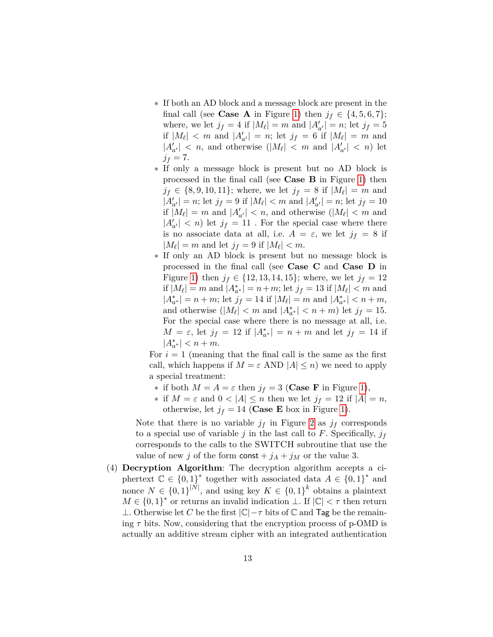- \* If both an AD block and a message block are present in the final call (see **Case A** in Figure [1\)](#page-7-0) then  $j_f \in \{4, 5, 6, 7\};$ where, we let  $j_f = 4$  if  $|M_{\ell}| = m$  and  $|A'_{a'}| = n$ ; let  $j_f = 5$ if  $|M_{\ell}| < m$  and  $|A'_{a'}| = n$ ; let  $j_f = 6$  if  $|M_{\ell}| = m$  and  $|A'_{a'}| < n$ , and otherwise  $(|M_{\ell}| < m$  and  $|A'_{a'}| < n$ ) let  $j_f = 7.$
- \* If only a message block is present but no AD block is processed in the final call (see **Case B** in Figure [1\)](#page-7-0) then  $j_f \in \{8, 9, 10, 11\};$  where, we let  $j_f = 8$  if  $|M_{\ell}| = m$  and  $|A'_{a'}| = n$ ; let  $j_f = 9$  if  $|M_{\ell}| < m$  and  $|A'_{a'}| = n$ ; let  $j_f = 10$ if  $|M_{\ell}| = m$  and  $|A'_{a'}| < n$ , and otherwise  $(|M_{\ell}| < m$  and  $|A'_{a'}| < n$  let  $j_f = 11$  . For the special case where there is no associate data at all, i.e.  $A = \varepsilon$ , we let  $j_f = 8$  if  $|M_{\ell}| = m$  and let  $j_f = 9$  if  $|M_{\ell}| < m$ .
- \* If only an AD block is present but no message block is processed in the final call (see **Case C** and **Case D** in Figure [1\)](#page-7-0) then  $j_f \in \{12, 13, 14, 15\}$ ; where, we let  $j_f = 12$ if  $|M_{\ell}| = m$  and  $|A^*_{a^*}| = n + m$ ; let  $j_f = 13$  if  $|M_{\ell}| < m$  and  $|A_{a^*}^*| = n + m$ ; let  $j_f = 14$  if  $|M_{\ell}| = m$  and  $|A_{a^*}^*| < n + m$ , and otherwise  $\left|\left|M_{\ell}\right| < m \text{ and } \left|A^*_{a^*}\right| < n+m\right)$  let  $j_f = 15$ . For the special case where there is no message at all, i.e.  $M = \varepsilon$ , let  $j_f = 12$  if  $|A^*_{a^*}| = n + m$  and let  $j_f = 14$  if  $|A^*_{a^*}| < n + m.$

For  $i = 1$  (meaning that the final call is the same as the first call, which happens if  $M = \varepsilon$  AND  $|A| \leq n$ ) we need to apply a special treatment:

- \* if both  $M = A = \varepsilon$  then  $j_f = 3$  (**Case F** in Figure [1\)](#page-7-0),
- \* if  $M = \varepsilon$  and  $0 < |A| \leq n$  then we let  $j_f = 12$  if  $|A| = n$ , otherwise, let  $j_f = 14$  (**Case E** box in Figure [1\)](#page-7-0).

Note that there is no variable  $j_f$  in Figure [2](#page-9-0) as  $j_f$  corresponds to a special use of variable j in the last call to F. Specifically,  $j_f$ corresponds to the calls to the SWITCH subroutine that use the value of new j of the form const  $+j_A + j_M$  or the value 3.

(4) **Decryption Algorithm**: The decryption algorithm accepts a ciphertext  $\mathbb{C} \in \{0,1\}^*$  together with associated data  $A \in \{0,1\}^*$  and nonce  $N \in \{0,1\}^{|N|}$ , and using key  $K \in \{0,1\}^k$  obtains a plaintext  $M \in \{0,1\}^*$  or returns an invalid indication  $\bot$ . If  $|\mathbb{C}| < \tau$  then return ⊥. Otherwise let C be the first  $|\mathbb{C}|-\tau$  bits of  $\mathbb C$  and Tag be the remaining  $\tau$  bits. Now, considering that the encryption process of p-OMD is actually an additive stream cipher with an integrated authentication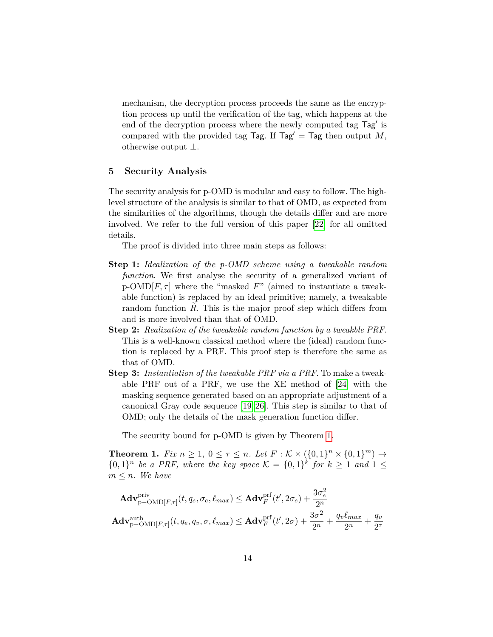mechanism, the decryption process proceeds the same as the encryption process up until the verification of the tag, which happens at the end of the decryption process where the newly computed tag Tag' is compared with the provided tag Tag. If Tag' = Tag then output  $M$ , otherwise output ⊥.

## <span id="page-13-0"></span>**5 Security Analysis**

The security analysis for p-OMD is modular and easy to follow. The highlevel structure of the analysis is similar to that of OMD, as expected from the similarities of the algorithms, though the details differ and are more involved. We refer to the full version of this paper [\[22\]](#page-19-13) for all omitted details.

The proof is divided into three main steps as follows:

- **Step 1:** *Idealization of the p-OMD scheme using a tweakable random function*. We first analyse the security of a generalized variant of  $p\text{-OMD}[F,\tau]$  where the "masked  $F$ " (aimed to instantiate a tweakable function) is replaced by an ideal primitive; namely, a tweakable random function  $R$ . This is the major proof step which differs from and is more involved than that of OMD.
- **Step 2:** *Realization of the tweakable random function by a tweakble PRF*. This is a well-known classical method where the (ideal) random function is replaced by a PRF. This proof step is therefore the same as that of OMD.
- **Step 3:** *Instantiation of the tweakable PRF via a PRF*. To make a tweakable PRF out of a PRF, we use the XE method of [\[24\]](#page-19-11) with the masking sequence generated based on an appropriate adjustment of a canonical Gray code sequence [\[19,](#page-19-12) [26\]](#page-19-10). This step is similar to that of OMD; only the details of the mask generation function differ.

The security bound for p-OMD is given by Theorem [1.](#page-13-1)

<span id="page-13-1"></span>**Theorem 1.** *Fix*  $n \ge 1, 0 \le \tau \le n$ . *Let*  $F : \mathcal{K} \times (\{0, 1\}^n \times \{0, 1\}^m) \to$  $\{0,1\}^n$  be a PRF, where the key space  $\mathcal{K} = \{0,1\}^k$  for  $k \geq 1$  and  $1 \leq$  $m \leq n$ . We have

$$
\mathbf{Adv}_{\mathbf{p}-\mathrm{OMD}[F,\tau]}^{\mathrm{priv}}(t, q_e, \sigma_e, \ell_{max}) \leq \mathbf{Adv}_{F}^{\mathrm{prf}}(t', 2\sigma_e) + \frac{3\sigma_e^2}{2^n}
$$
\n
$$
\mathbf{Adv}_{\mathbf{p}-\mathrm{OMD}[F,\tau]}^{\mathrm{auth}}(t, q_e, q_v, \sigma, \ell_{max}) \leq \mathbf{Adv}_{F}^{\mathrm{prf}}(t', 2\sigma) + \frac{3\sigma^2}{2^n} + \frac{q_v\ell_{max}}{2^n} + \frac{q_v}{2^\tau}
$$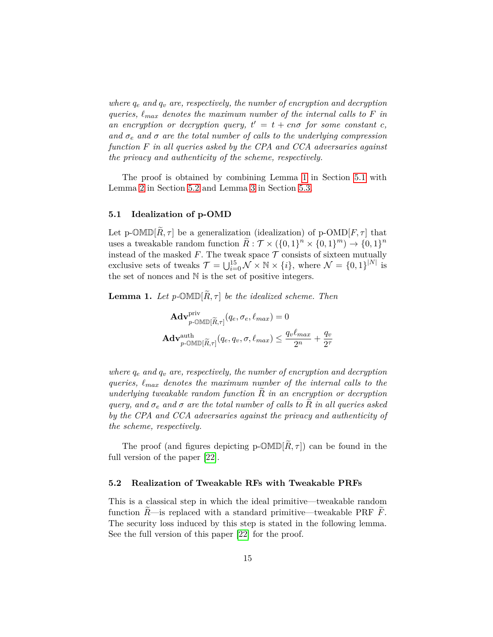*where*  $q_e$  and  $q_v$  are, respectively, the number of encryption and decryption *queries,*  $\ell_{max}$  denotes the maximum number of the internal calls to  $F$  in an encryption or decryption query,  $t' = t + cn\sigma$  for some constant *c*, and  $\sigma_e$  and  $\sigma$  are the total number of calls to the underlying compression *function in all queries asked by the CPA and CCA adversaries against the privacy and authenticity of the scheme, respectively.*

The proof is obtained by combining Lemma [1](#page-14-0) in Section [5.1](#page-14-1) with Lemma [2](#page-14-2) in Section [5.2](#page-14-3) and Lemma [3](#page-15-0) in Section [5.3.](#page-15-1)

#### <span id="page-14-1"></span>**5.1 Idealization of p-OMD**

Let p- $\mathbb{OMD}[\widetilde{R}, \tau]$  be a generalization (idealization) of p- $\mathbb{OMD}[F, \tau]$  that uses a tweakable random function  $\widetilde{R}: \mathcal{T} \times (\{0,1\}^n \times \{0,1\}^m) \to \{0,1\}^n$ instead of the masked  $F$ . The tweak space  $\mathcal T$  consists of sixteen mutually exclusive sets of tweaks  $\mathcal{T} = \bigcup_{i=0}^{15} \mathcal{N} \times \mathbb{N} \times \{i\}$ , where  $\mathcal{N} = \{0,1\}^{|N|}$  is the set of nonces and N is the set of positive integers.

<span id="page-14-0"></span>**Lemma 1.** Let p- $\mathbb{OMD}[\widetilde{R}, \tau]$  be the idealized scheme. Then

$$
\mathbf{Adv}_{p-\text{OMID}[\widetilde{R},\tau]}^{\text{priv}}(q_e, \sigma_e, \ell_{max}) = 0
$$
\n
$$
\mathbf{Adv}_{p-\text{OMID}[\widetilde{R},\tau]}^{\text{auth}}(q_e, q_v, \sigma, \ell_{max}) \le \frac{q_v \ell_{max}}{2^n} + \frac{q_v}{2^\tau}
$$

*where*  $q_e$  and  $q_v$  are, respectively, the number of encryption and decryption *queries, ℓ denotes the maximum number of the internal calls to the underlying tweakable random function*  $\tilde{R}$  *in an encryption or decryption query, and*  $\sigma_e$  *and*  $\sigma$  *are the total number of calls to*  $R$  *in all queries asked by the CPA and CCA adversaries against the privacy and authenticity of the scheme, respectively.*

The proof (and figures depicting p- $\mathbb{OMD}[\widetilde{R}, \tau]$ ) can be found in the full version of the paper [\[22\]](#page-19-13).

#### <span id="page-14-3"></span>**5.2 Realization of Tweakable RFs with Tweakable PRFs**

<span id="page-14-2"></span>This is a classical step in which the ideal primitive—tweakable random function  $R$ —is replaced with a standard primitive—tweakable PRF  $F$ . The security loss induced by this step is stated in the following lemma. See the full version of this paper [\[22\]](#page-19-13) for the proof.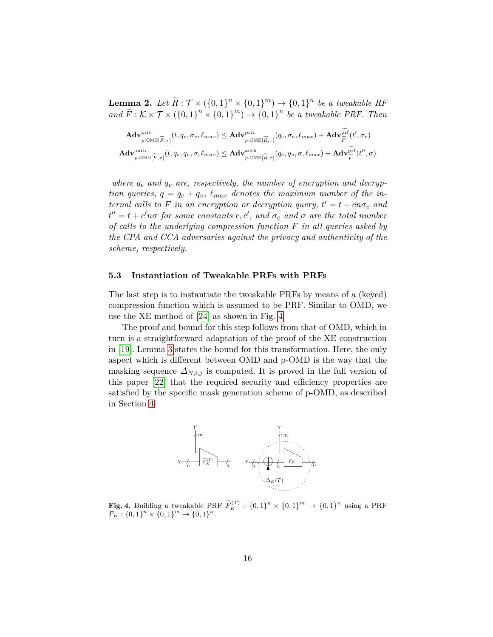**Lemma 2.** Let  $\widetilde{R}: \mathcal{T} \times (\{0,1\}^n \times \{0,1\}^m) \rightarrow \{0,1\}^n$  be a tweakable RF and  $\widetilde{F}: K \times T \times (\{0,1\}^n \times \{0,1\}^m) \rightarrow \{0,1\}^n$  be a tweakable PRF. Then

$$
\mathbf{Adv}_{p\text{-OMID}[\widetilde{F},\tau]}^{\text{priv}}(t,q_e,\sigma_e,\ell_{max}) \leq \mathbf{Adv}_{p\text{-OMID}[\widetilde{R},\tau]}^{\text{priv}}(q_e,\sigma_e,\ell_{max}) + \mathbf{Adv}_{\widetilde{F}}^{\text{prf}}(t',\sigma_e)
$$
\n
$$
\mathbf{Adv}_{p\text{-OMID}[\widetilde{F},\tau]}^{\text{auth}}(t,q_e,q_v,\sigma,\ell_{max}) \leq \mathbf{Adv}_{p\text{-OMID}[\widetilde{R},\tau]}^{\text{auth}}(q_e,q_v,\sigma,\ell_{max}) + \mathbf{Adv}_{\widetilde{F}}^{\text{prf}}(t'',\sigma)
$$

where  $q_e$  and  $q_v$  are, respectively, the number of encryption and decryp*tion queries,*  $q = q_e + q_v$ ,  $\ell_{max}$  denotes the maximum number of the in*ternal calls to*  $F$  *in an encryption or decryption query,*  $t' = t + cn\sigma_e$  and  $t'' = t + c'$ *no* for some constants  $c, c'$ , and  $\sigma_e$  and  $\sigma$  are the total number *of calls to the underlying compression function in all queries asked by the CPA and CCA adversaries against the privacy and authenticity of the scheme, respectively.*

#### <span id="page-15-1"></span>**5.3 Instantiation of Tweakable PRFs with PRFs**

The last step is to instantiate the tweakable PRFs by means of a (keyed) compression function which is assumed to be PRF. Similar to OMD, we use the XE method of [\[24\]](#page-19-11) as shown in Fig. [4.](#page-15-2)

The proof and bound for this step follows from that of OMD, which in turn is a straightforward adaptation of the proof of the XE construction in [\[19\]](#page-19-12). Lemma [3](#page-15-0) states the bound for this transformation. Here, the only aspect which is different between OMD and p-OMD is the way that the masking sequence  $\Delta_{N,i,j}$  is computed. It is proved in the full version of this paper [\[22\]](#page-19-13) that the required security and efficiency properties are satisfied by the specific mask generation scheme of p-OMD, as described in Section [4.](#page-6-0)

<span id="page-15-2"></span>

<span id="page-15-0"></span>**Fig. 4.** Building a tweakable PRF  $\widetilde{F}_{K}^{(T)}$  :  $\{0,1\}^{n} \times \{0,1\}^{m} \to \{0,1\}^{n}$  using a PRF  $F_K: \{0,1\}^n \times \{0,1\}^m \rightarrow \{0,1\}^n.$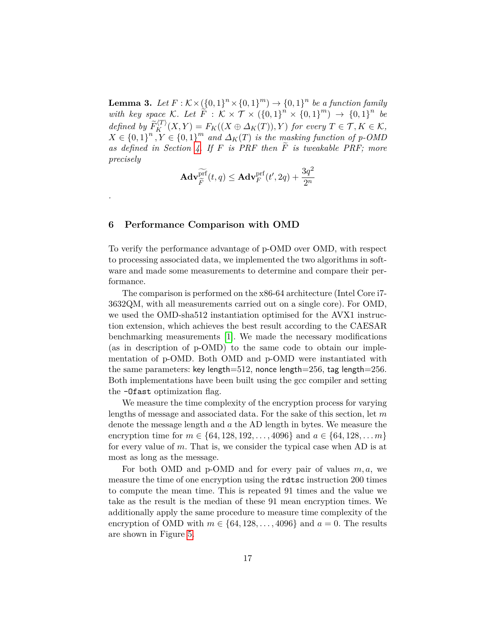**Lemma 3.** Let  $F: K \times (\{0,1\}^n \times \{0,1\}^m) \rightarrow \{0,1\}^n$  be a function family with key space K. Let  $\widetilde{F}$  :  $\widetilde{K} \times \widetilde{T} \times (\{0,1\}^n \times \{0,1\}^m) \rightarrow \{0,1\}^n$  be *defined by*  $\widetilde{F}_K^{(T)}(X,Y) = F_K((X \oplus \Delta_K(T)), Y)$  for every  $T \in \mathcal{T}, K \in \mathcal{K},$  $X \in \{0,1\}^n$ ,  $Y \in \{0,1\}^m$  and  $\Delta_K(T)$  is the masking function of p-OMD *as defined in Section [4.](#page-6-0)* If  $F$  *is PRF then*  $\widetilde{F}$  *is tweakable PRF; more precisely*

$$
\mathbf{Adv}_{\widetilde{F}}^{\widetilde{\mathrm{prf}}}(t,q) \leq \mathbf{Adv}_{F}^{\mathrm{prf}}(t',2q) + \frac{3q^2}{2^n}
$$

#### <span id="page-16-0"></span>**6 Performance Comparison with OMD**

*.*

To verify the performance advantage of p-OMD over OMD, with respect to processing associated data, we implemented the two algorithms in software and made some measurements to determine and compare their performance.

The comparison is performed on the x86-64 architecture (Intel Core i7- 3632QM, with all measurements carried out on a single core). For OMD, we used the OMD-sha512 instantiation optimised for the AVX1 instruction extension, which achieves the best result according to the CAESAR benchmarking measurements [\[1\]](#page-18-13). We made the necessary modifications (as in description of p-OMD) to the same code to obtain our implementation of p-OMD. Both OMD and p-OMD were instantiated with the same parameters: key length=512, nonce length=256, tag length=256. Both implementations have been built using the gcc compiler and setting the -Ofast optimization flag.

We measure the time complexity of the encryption process for varying lengths of message and associated data. For the sake of this section, let  $m$ denote the message length and  $a$  the AD length in bytes. We measure the encryption time for  $m \in \{64, 128, 192, \ldots, 4096\}$  and  $a \in \{64, 128, \ldots m\}$ for every value of  $m$ . That is, we consider the typical case when AD is at most as long as the message.

For both OMD and p-OMD and for every pair of values  $m, a$ , we measure the time of one encryption using the rdtsc instruction 200 times to compute the mean time. This is repeated 91 times and the value we take as the result is the median of these 91 mean encryption times. We additionally apply the same procedure to measure time complexity of the encryption of OMD with  $m \in \{64, 128, \ldots, 4096\}$  and  $a = 0$ . The results are shown in Figure [5.](#page-17-0)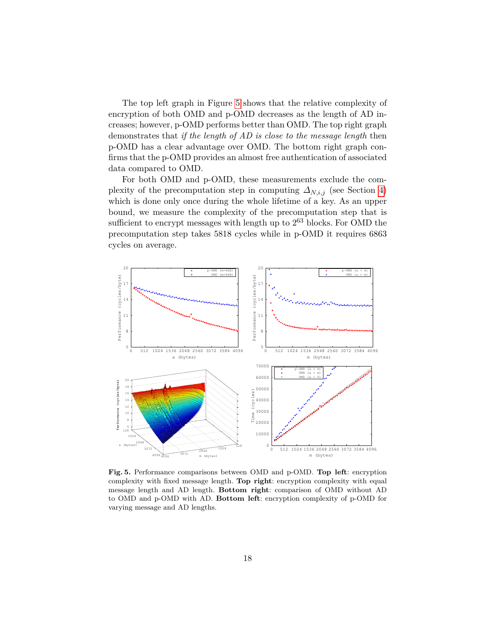The top left graph in Figure [5](#page-17-0) shows that the relative complexity of encryption of both OMD and p-OMD decreases as the length of AD increases; however, p-OMD performs better than OMD. The top right graph demonstrates that *if the length of AD is close to the message length* then p-OMD has a clear advantage over OMD. The bottom right graph confirms that the p-OMD provides an almost free authentication of associated data compared to OMD.

For both OMD and p-OMD, these measurements exclude the complexity of the precomputation step in computing  $\Delta_{N,i,j}$  (see Section [4\)](#page-6-0) which is done only once during the whole lifetime of a key. As an upper bound, we measure the complexity of the precomputation step that is sufficient to encrypt messages with length up to  $2^{63}$  blocks. For OMD the precomputation step takes 5818 cycles while in p-OMD it requires 6863 cycles on average.



<span id="page-17-0"></span>**Fig. 5.** Performance comparisons between OMD and p-OMD. **Top left**: encryption complexity with fixed message length. **Top right**: encryption complexity with equal message length and AD length. **Bottom right**: comparison of OMD without AD to OMD and p-OMD with AD. **Bottom left**: encryption complexity of p-OMD for varying message and AD lengths.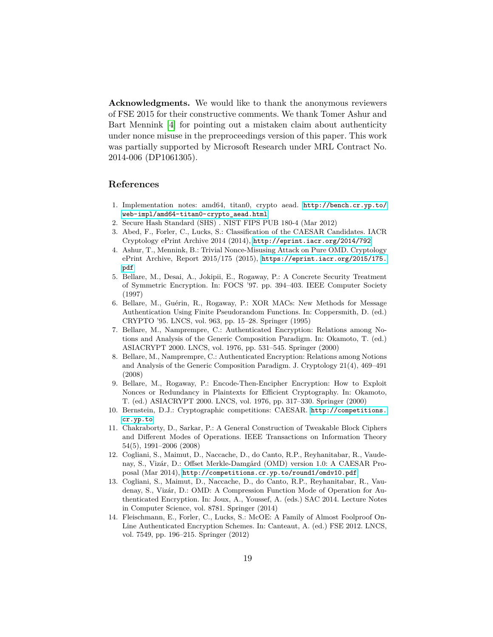**Acknowledgments.** We would like to thank the anonymous reviewers of FSE 2015 for their constructive comments. We thank Tomer Ashur and Bart Mennink [\[4\]](#page-18-10) for pointing out a mistaken claim about authenticity under nonce misuse in the preproceedings version of this paper. This work was partially supported by Microsoft Research under MRL Contract No. 2014-006 (DP1061305).

# **References**

- <span id="page-18-13"></span>1. Implementation notes: amd64, titan0, crypto aead. [http://bench.cr.yp.to/](http://bench.cr.yp.to/web-impl/amd64-titan0-crypto_aead.html) [web-impl/amd64-titan0-crypto\\_aead.html](http://bench.cr.yp.to/web-impl/amd64-titan0-crypto_aead.html)
- <span id="page-18-8"></span>2. Secure Hash Standard (SHS) . NIST FIPS PUB 180-4 (Mar 2012)
- <span id="page-18-7"></span>3. Abed, F., Forler, C., Lucks, S.: Classification of the CAESAR Candidates. IACR Cryptology ePrint Archive 2014 (2014), <http://eprint.iacr.org/2014/792>
- <span id="page-18-10"></span>4. Ashur, T., Mennink, B.: Trivial Nonce-Misusing Attack on Pure OMD. Cryptology ePrint Archive, Report 2015/175 (2015), [https://eprint.iacr.org/2015/175.](https://eprint.iacr.org/2015/175.pdf) [pdf](https://eprint.iacr.org/2015/175.pdf)
- <span id="page-18-11"></span>5. Bellare, M., Desai, A., Jokipii, E., Rogaway, P.: A Concrete Security Treatment of Symmetric Encryption. In: FOCS '97. pp. 394–403. IEEE Computer Society (1997)
- <span id="page-18-9"></span>6. Bellare, M., Guérin, R., Rogaway, P.: XOR MACs: New Methods for Message Authentication Using Finite Pseudorandom Functions. In: Coppersmith, D. (ed.) CRYPTO '95. LNCS, vol. 963, pp. 15–28. Springer (1995)
- <span id="page-18-0"></span>7. Bellare, M., Namprempre, C.: Authenticated Encryption: Relations among Notions and Analysis of the Generic Composition Paradigm. In: Okamoto, T. (ed.) ASIACRYPT 2000. LNCS, vol. 1976, pp. 531–545. Springer (2000)
- <span id="page-18-1"></span>8. Bellare, M., Namprempre, C.: Authenticated Encryption: Relations among Notions and Analysis of the Generic Composition Paradigm. J. Cryptology 21(4), 469–491 (2008)
- <span id="page-18-2"></span>9. Bellare, M., Rogaway, P.: Encode-Then-Encipher Encryption: How to Exploit Nonces or Redundancy in Plaintexts for Efficient Cryptography. In: Okamoto, T. (ed.) ASIACRYPT 2000. LNCS, vol. 1976, pp. 317–330. Springer (2000)
- <span id="page-18-4"></span>10. Bernstein, D.J.: Cryptographic competitions: CAESAR. [http://competitions.](http://competitions.cr.yp.to) [cr.yp.to](http://competitions.cr.yp.to)
- <span id="page-18-12"></span>11. Chakraborty, D., Sarkar, P.: A General Construction of Tweakable Block Ciphers and Different Modes of Operations. IEEE Transactions on Information Theory 54(5), 1991–2006 (2008)
- <span id="page-18-5"></span>12. Cogliani, S., Maimut, D., Naccache, D., do Canto, R.P., Reyhanitabar, R., Vaudenay, S., Vizár, D.: Offset Merkle-Damgård (OMD) version 1.0: A CAESAR Proposal (Mar 2014), <http://competitions.cr.yp.to/round1/omdv10.pdf>
- <span id="page-18-6"></span>13. Cogliani, S., Maimut, D., Naccache, D., do Canto, R.P., Reyhanitabar, R., Vaudenay, S., Vizár, D.: OMD: A Compression Function Mode of Operation for Authenticated Encryption. In: Joux, A., Youssef, A. (eds.) SAC 2014. Lecture Notes in Computer Science, vol. 8781. Springer (2014)
- <span id="page-18-3"></span>14. Fleischmann, E., Forler, C., Lucks, S.: McOE: A Family of Almost Foolproof On-Line Authenticated Encryption Schemes. In: Canteaut, A. (ed.) FSE 2012. LNCS, vol. 7549, pp. 196–215. Springer (2012)